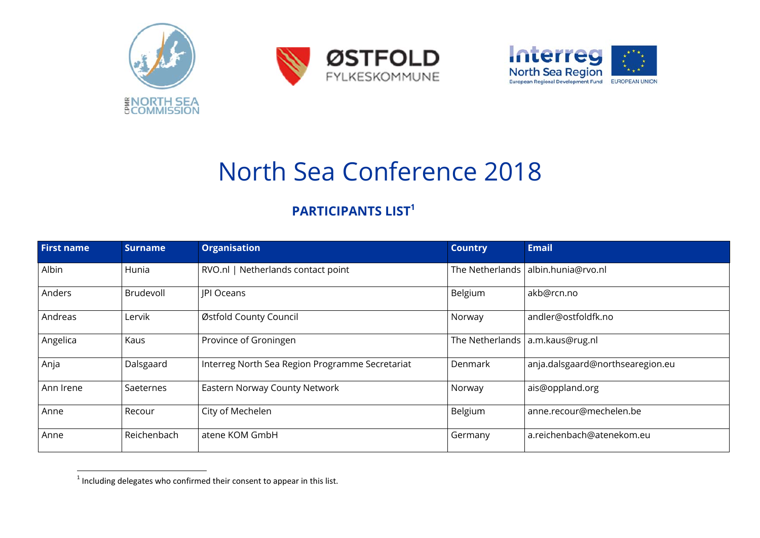





## North Sea Conference 2018

## **PARTICIPPANTS LIST<sup>1</sup>**

| <b>PARTICIPANTS LIST<sup>1</sup></b> |                |                                                 |                 |                                   |
|--------------------------------------|----------------|-------------------------------------------------|-----------------|-----------------------------------|
| <b>First name</b>                    | <b>Surname</b> | <b>Organisation</b>                             | <b>Country</b>  | <b>Email</b>                      |
| Albin                                | Hunia          | RVO.nl   Netherlands contact point              | The Netherlands | albin.hunia@rvo.nl                |
| Anders                               | Brudevoll      | <b>JPI Oceans</b>                               | Belgium         | akb@rcn.no                        |
| Andreas                              | Lervik         | Østfold County Council                          | Norway          | andler@ostfoldfk.no               |
| Angelica                             | Kaus           | Province of Groningen                           |                 | The Netherlands   a.m.kaus@rug.nl |
| Anja                                 | Dalsgaard      | Interreg North Sea Region Programme Secretariat | Denmark         | anja.dalsgaard@northsearegion.eu  |
| Ann Irene                            | Saeternes      | Eastern Norway County Network                   | Norway          | ais@oppland.org                   |
| Anne                                 | Recour         | City of Mechelen                                | Belgium         | anne.recour@mechelen.be           |
| Anne                                 | Reichenbach    | atene KOM GmbH                                  | Germany         | a.reichenbach@atenekom.eu         |

<sup>&</sup>lt;sup>1</sup> Including delegates who confirmed their consent to appear in this list.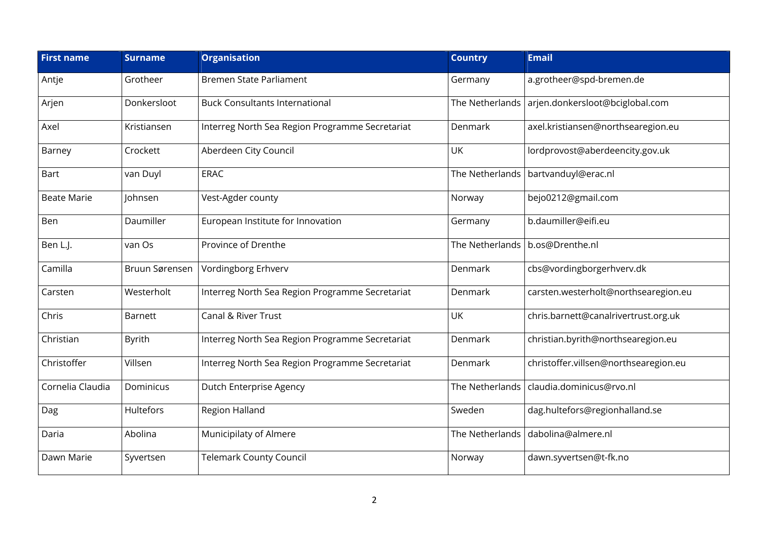| <b>First name</b>  | <b>Surname</b> | <b>Organisation</b>                             | <b>Country</b>  | <b>Email</b>                          |
|--------------------|----------------|-------------------------------------------------|-----------------|---------------------------------------|
| Antje              | Grotheer       | Bremen State Parliament                         | Germany         | a.grotheer@spd-bremen.de              |
| Arjen              | Donkersloot    | <b>Buck Consultants International</b>           | The Netherlands | arjen.donkersloot@bciglobal.com       |
| Axel               | Kristiansen    | Interreg North Sea Region Programme Secretariat | Denmark         | axel.kristiansen@northsearegion.eu    |
| Barney             | Crockett       | Aberdeen City Council                           | UK              | lordprovost@aberdeencity.gov.uk       |
| Bart               | van Duyl       | <b>ERAC</b>                                     | The Netherlands | bartvanduyl@erac.nl                   |
| <b>Beate Marie</b> | Johnsen        | Vest-Agder county                               | Norway          | bejo0212@gmail.com                    |
| Ben                | Daumiller      | European Institute for Innovation               | Germany         | b.daumiller@eifi.eu                   |
| Ben L.J.           | van Os         | Province of Drenthe                             | The Netherlands | b.os@Drenthe.nl                       |
| Camilla            | Bruun Sørensen | Vordingborg Erhverv                             | Denmark         | cbs@vordingborgerhverv.dk             |
| Carsten            | Westerholt     | Interreg North Sea Region Programme Secretariat | Denmark         | carsten.westerholt@northsearegion.eu  |
| Chris              | <b>Barnett</b> | Canal & River Trust                             | UK              | chris.barnett@canalrivertrust.org.uk  |
| Christian          | <b>Byrith</b>  | Interreg North Sea Region Programme Secretariat | Denmark         | christian.byrith@northsearegion.eu    |
| Christoffer        | Villsen        | Interreg North Sea Region Programme Secretariat | Denmark         | christoffer.villsen@northsearegion.eu |
| Cornelia Claudia   | Dominicus      | Dutch Enterprise Agency                         | The Netherlands | claudia.dominicus@rvo.nl              |
| Dag                | Hultefors      | Region Halland                                  | Sweden          | dag.hultefors@regionhalland.se        |
| Daria              | Abolina        | Municipilaty of Almere                          | The Netherlands | dabolina@almere.nl                    |
| Dawn Marie         | Syvertsen      | <b>Telemark County Council</b>                  | Norway          | dawn.syvertsen@t-fk.no                |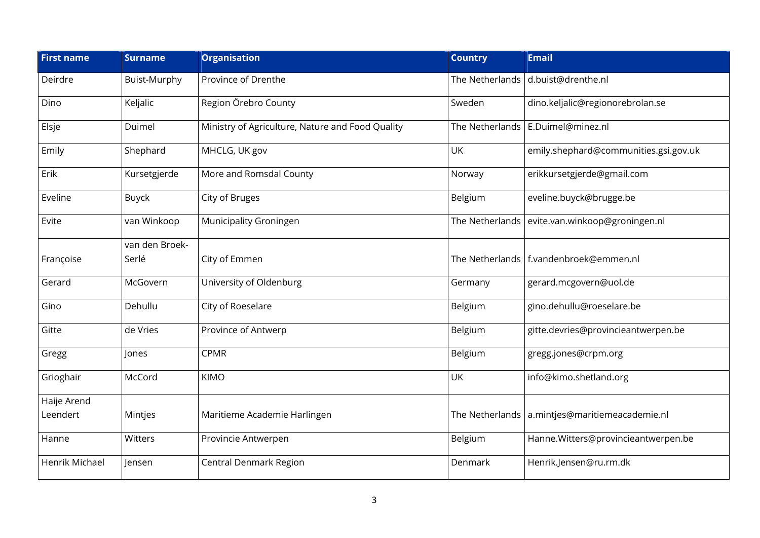| <b>First name</b> | <b>Surname</b> | <b>Organisation</b>                              | <b>Country</b>  | <b>Email</b>                                     |
|-------------------|----------------|--------------------------------------------------|-----------------|--------------------------------------------------|
| Deirdre           | Buist-Murphy   | Province of Drenthe                              | The Netherlands | d.buist@drenthe.nl                               |
| Dino              | Keljalic       | Region Örebro County                             | Sweden          | dino.keljalic@regionorebrolan.se                 |
| Elsje             | Duimel         | Ministry of Agriculture, Nature and Food Quality | The Netherlands | E.Duimel@minez.nl                                |
| Emily             | Shephard       | MHCLG, UK gov                                    | <b>UK</b>       | emily.shephard@communities.gsi.gov.uk            |
| Erik              | Kursetgjerde   | More and Romsdal County                          | Norway          | erikkursetgjerde@gmail.com                       |
| Eveline           | <b>Buyck</b>   | City of Bruges                                   | Belgium         | eveline.buyck@brugge.be                          |
| Evite             | van Winkoop    | Municipality Groningen                           | The Netherlands | evite.van.winkoop@groningen.nl                   |
|                   | van den Broek- |                                                  |                 |                                                  |
| Françoise         | Serlé          | City of Emmen                                    |                 | The Netherlands   f.vandenbroek@emmen.nl         |
| Gerard            | McGovern       | University of Oldenburg                          | Germany         | gerard.mcgovern@uol.de                           |
| Gino              | Dehullu        | City of Roeselare                                | Belgium         | gino.dehullu@roeselare.be                        |
| Gitte             | de Vries       | Province of Antwerp                              | Belgium         | gitte.devries@provincieantwerpen.be              |
| Gregg             | Jones          | <b>CPMR</b>                                      | Belgium         | gregg.jones@crpm.org                             |
| Grioghair         | McCord         | <b>KIMO</b>                                      | UK              | info@kimo.shetland.org                           |
| Haije Arend       |                |                                                  |                 |                                                  |
| Leendert          | Mintjes        | Maritieme Academie Harlingen                     |                 | The Netherlands   a.mintjes@maritiemeacademie.nl |
| Hanne             | Witters        | Provincie Antwerpen                              | Belgium         | Hanne.Witters@provincieantwerpen.be              |
| Henrik Michael    | Jensen         | Central Denmark Region                           | Denmark         | Henrik.Jensen@ru.rm.dk                           |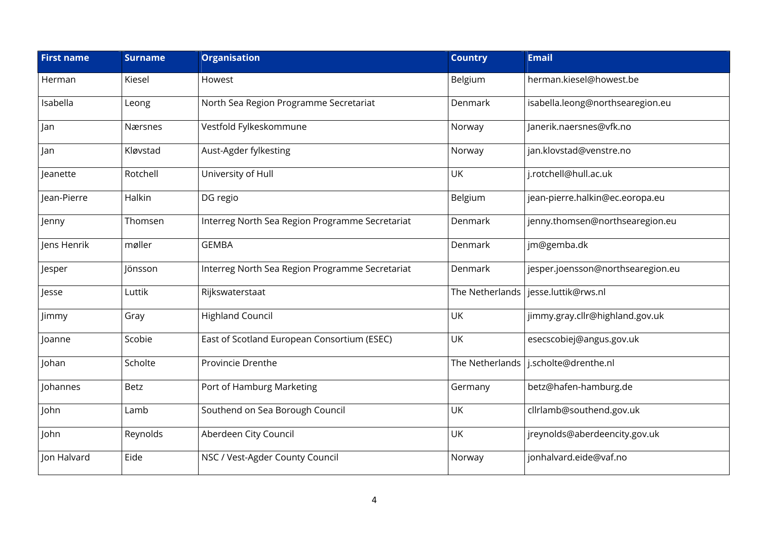| <b>First name</b> | <b>Surname</b> | <b>Organisation</b>                             | <b>Country</b>  | <b>Email</b>                      |
|-------------------|----------------|-------------------------------------------------|-----------------|-----------------------------------|
| Herman            | Kiesel         | Howest                                          | Belgium         | herman.kiesel@howest.be           |
| Isabella          | Leong          | North Sea Region Programme Secretariat          | Denmark         | isabella.leong@northsearegion.eu  |
| Jan               | Nærsnes        | Vestfold Fylkeskommune                          | Norway          | Janerik.naersnes@vfk.no           |
| Jan               | Kløvstad       | Aust-Agder fylkesting                           | Norway          | jan.klovstad@venstre.no           |
| Jeanette          | Rotchell       | University of Hull                              | UK              | j.rotchell@hull.ac.uk             |
| Jean-Pierre       | Halkin         | DG regio                                        | Belgium         | jean-pierre.halkin@ec.eoropa.eu   |
| Jenny             | Thomsen        | Interreg North Sea Region Programme Secretariat | Denmark         | jenny.thomsen@northsearegion.eu   |
| Jens Henrik       | møller         | <b>GEMBA</b>                                    | Denmark         | jm@gemba.dk                       |
| Jesper            | Jönsson        | Interreg North Sea Region Programme Secretariat | Denmark         | jesper.joensson@northsearegion.eu |
| Jesse             | Luttik         | Rijkswaterstaat                                 | The Netherlands | jesse.luttik@rws.nl               |
| Jimmy             | Gray           | <b>Highland Council</b>                         | UK              | jimmy.gray.cllr@highland.gov.uk   |
| Joanne            | Scobie         | East of Scotland European Consortium (ESEC)     | UK              | esecscobiej@angus.gov.uk          |
| Johan             | Scholte        | Provincie Drenthe                               | The Netherlands | j.scholte@drenthe.nl              |
| Johannes          | Betz           | Port of Hamburg Marketing                       | Germany         | betz@hafen-hamburg.de             |
| John              | Lamb           | Southend on Sea Borough Council                 | <b>UK</b>       | cllrlamb@southend.gov.uk          |
| John              | Reynolds       | Aberdeen City Council                           | UK              | jreynolds@aberdeencity.gov.uk     |
| Jon Halvard       | Eide           | NSC / Vest-Agder County Council                 | Norway          | jonhalvard.eide@vaf.no            |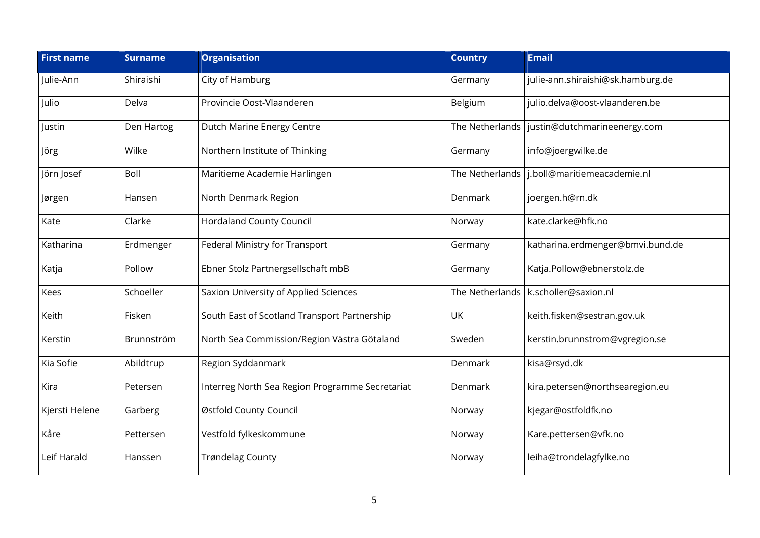| <b>First name</b> | <b>Surname</b> | <b>Organisation</b>                             | <b>Country</b> | <b>Email</b>                                   |
|-------------------|----------------|-------------------------------------------------|----------------|------------------------------------------------|
| Julie-Ann         | Shiraishi      | City of Hamburg                                 | Germany        | julie-ann.shiraishi@sk.hamburg.de              |
| Julio             | Delva          | Provincie Oost-Vlaanderen                       | Belgium        | julio.delva@oost-vlaanderen.be                 |
| Justin            | Den Hartog     | Dutch Marine Energy Centre                      |                | The Netherlands   justin@dutchmarineenergy.com |
| Jörg              | Wilke          | Northern Institute of Thinking                  | Germany        | info@joergwilke.de                             |
| Jörn Josef        | Boll           | Maritieme Academie Harlingen                    |                | The Netherlands   j.boll@maritiemeacademie.nl  |
| Jørgen            | Hansen         | North Denmark Region                            | Denmark        | joergen.h@rn.dk                                |
| Kate              | Clarke         | <b>Hordaland County Council</b>                 | Norway         | kate.clarke@hfk.no                             |
| Katharina         | Erdmenger      | Federal Ministry for Transport                  | Germany        | katharina.erdmenger@bmvi.bund.de               |
| Katja             | Pollow         | Ebner Stolz Partnergsellschaft mbB              | Germany        | Katja.Pollow@ebnerstolz.de                     |
| Kees              | Schoeller      | Saxion University of Applied Sciences           |                | The Netherlands   k.scholler@saxion.nl         |
| Keith             | Fisken         | South East of Scotland Transport Partnership    | UK             | keith.fisken@sestran.gov.uk                    |
| Kerstin           | Brunnström     | North Sea Commission/Region Västra Götaland     | Sweden         | kerstin.brunnstrom@vgregion.se                 |
| Kia Sofie         | Abildtrup      | Region Syddanmark                               | Denmark        | kisa@rsyd.dk                                   |
| Kira              | Petersen       | Interreg North Sea Region Programme Secretariat | Denmark        | kira.petersen@northsearegion.eu                |
| Kjersti Helene    | Garberg        | Østfold County Council                          | Norway         | kjegar@ostfoldfk.no                            |
| Kåre              | Pettersen      | Vestfold fylkeskommune                          | Norway         | Kare.pettersen@vfk.no                          |
| Leif Harald       | Hanssen        | <b>Trøndelag County</b>                         | Norway         | leiha@trondelagfylke.no                        |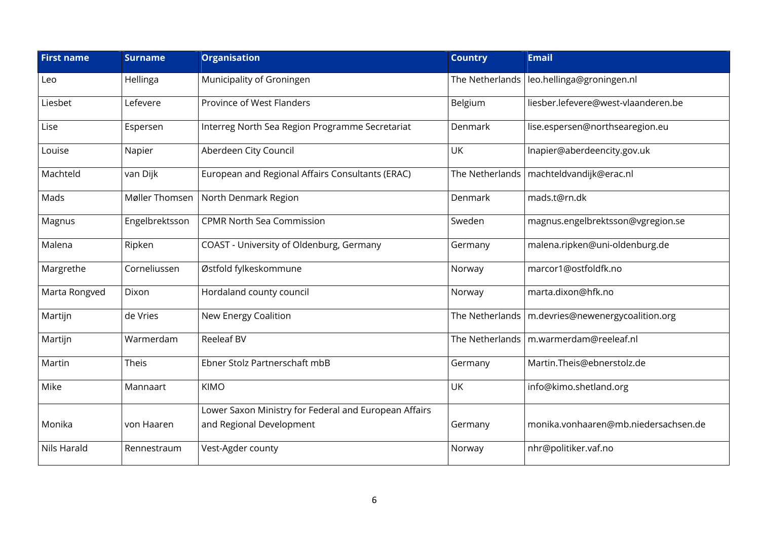| <b>First name</b> | <b>Surname</b> | <b>Organisation</b>                                   | <b>Country</b>  | <b>Email</b>                                       |
|-------------------|----------------|-------------------------------------------------------|-----------------|----------------------------------------------------|
| Leo               | Hellinga       | Municipality of Groningen                             | The Netherlands | leo.hellinga@groningen.nl                          |
| Liesbet           | Lefevere       | Province of West Flanders                             | Belgium         | liesber.lefevere@west-vlaanderen.be                |
| Lise              | Espersen       | Interreg North Sea Region Programme Secretariat       | Denmark         | lise.espersen@northsearegion.eu                    |
| Louise            | Napier         | Aberdeen City Council                                 | UK              | Inapier@aberdeencity.gov.uk                        |
| Machteld          | van Dijk       | European and Regional Affairs Consultants (ERAC)      |                 | The Netherlands   machteldvandijk@erac.nl          |
| Mads              | Møller Thomsen | North Denmark Region                                  | Denmark         | mads.t@rn.dk                                       |
| Magnus            | Engelbrektsson | <b>CPMR North Sea Commission</b>                      | Sweden          | magnus.engelbrektsson@vgregion.se                  |
| Malena            | Ripken         | COAST - University of Oldenburg, Germany              | Germany         | malena.ripken@uni-oldenburg.de                     |
| Margrethe         | Corneliussen   | Østfold fylkeskommune                                 | Norway          | marcor1@ostfoldfk.no                               |
| Marta Rongved     | Dixon          | Hordaland county council                              | Norway          | marta.dixon@hfk.no                                 |
| Martijn           | de Vries       | New Energy Coalition                                  |                 | The Netherlands   m.devries@newenergycoalition.org |
| Martijn           | Warmerdam      | <b>Reeleaf BV</b>                                     |                 | The Netherlands   m.warmerdam@reeleaf.nl           |
| Martin            | Theis          | Ebner Stolz Partnerschaft mbB                         | Germany         | Martin.Theis@ebnerstolz.de                         |
| Mike              | Mannaart       | <b>KIMO</b>                                           | UK              | info@kimo.shetland.org                             |
|                   |                | Lower Saxon Ministry for Federal and European Affairs |                 |                                                    |
| Monika            | von Haaren     | and Regional Development                              | Germany         | monika.vonhaaren@mb.niedersachsen.de               |
| Nils Harald       | Rennestraum    | Vest-Agder county                                     | Norway          | nhr@politiker.vaf.no                               |